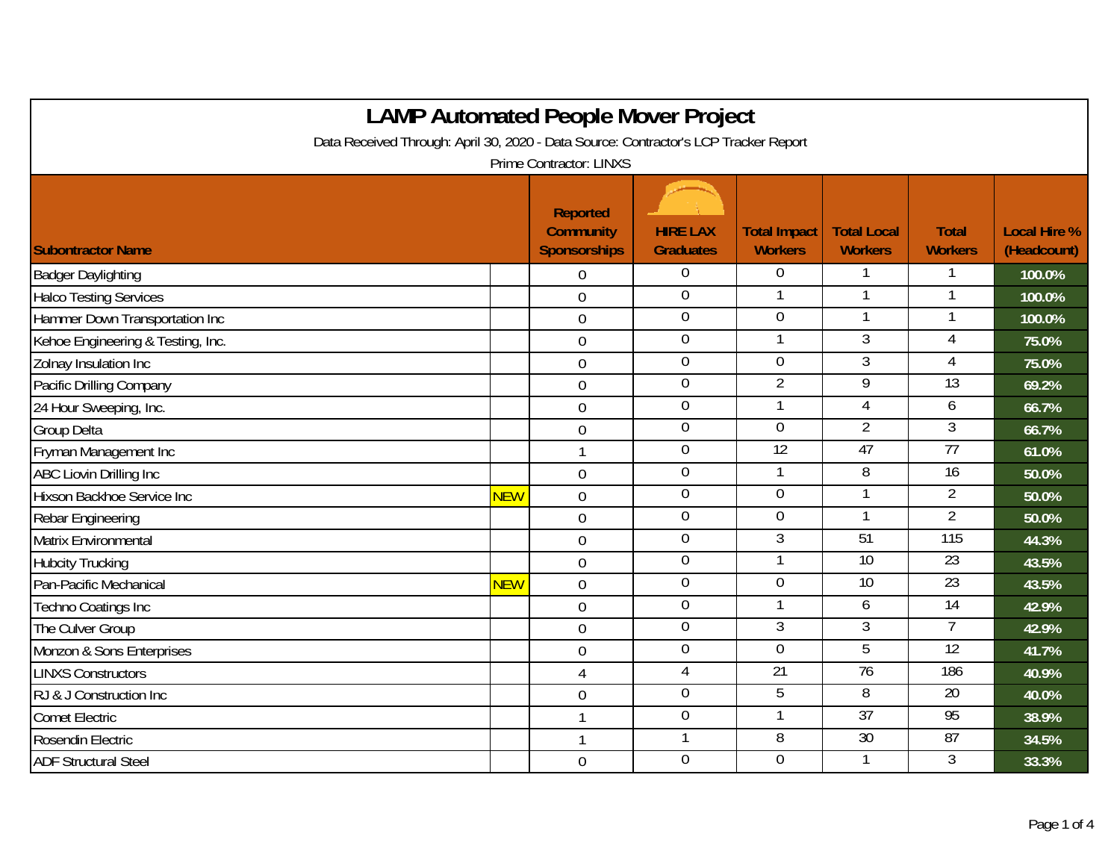| <b>LAMP Automated People Mover Project</b>                                           |            |                                                            |                                     |                                       |                                      |                                |                                    |  |  |
|--------------------------------------------------------------------------------------|------------|------------------------------------------------------------|-------------------------------------|---------------------------------------|--------------------------------------|--------------------------------|------------------------------------|--|--|
| Data Received Through: April 30, 2020 - Data Source: Contractor's LCP Tracker Report |            |                                                            |                                     |                                       |                                      |                                |                                    |  |  |
| <b>Prime Contractor: LINXS</b>                                                       |            |                                                            |                                     |                                       |                                      |                                |                                    |  |  |
| <b>Subontractor Name</b>                                                             |            | <b>Reported</b><br><b>Community</b><br><b>Sponsorships</b> | <b>HIRE LAX</b><br><b>Graduates</b> | <b>Total Impact</b><br><b>Workers</b> | <b>Total Local</b><br><b>Workers</b> | <b>Total</b><br><b>Workers</b> | <b>Local Hire %</b><br>(Headcount) |  |  |
| <b>Badger Daylighting</b>                                                            |            | 0                                                          | $\overline{0}$                      | $\Omega$                              |                                      |                                | 100.0%                             |  |  |
| <b>Halco Testing Services</b>                                                        |            | $\overline{0}$                                             | $\mathbf 0$                         | $\mathbf{1}$                          | 1                                    | $\mathbf{1}$                   | 100.0%                             |  |  |
| Hammer Down Transportation Inc                                                       |            | $\overline{0}$                                             | $\boldsymbol{0}$                    | 0                                     |                                      |                                | 100.0%                             |  |  |
| Kehoe Engineering & Testing, Inc.                                                    |            | $\mathbf 0$                                                | $\overline{0}$                      |                                       | $\overline{3}$                       | $\overline{4}$                 | 75.0%                              |  |  |
| Zolnay Insulation Inc                                                                |            | $\overline{0}$                                             | $\boldsymbol{0}$                    | $\overline{0}$                        | 3                                    | 4                              | 75.0%                              |  |  |
| Pacific Drilling Company                                                             |            | $\overline{0}$                                             | $\boldsymbol{0}$                    | $\overline{2}$                        | $\overline{9}$                       | $\overline{13}$                | 69.2%                              |  |  |
| 24 Hour Sweeping, Inc.                                                               |            | $\mathbf 0$                                                | $\overline{0}$                      |                                       | 4                                    | 6                              | 66.7%                              |  |  |
| Group Delta                                                                          |            | $\mathbf 0$                                                | $\boldsymbol{0}$                    | $\mathbf 0$                           | $\overline{2}$                       | 3                              | 66.7%                              |  |  |
| Fryman Management Inc                                                                |            | $\mathbf{1}$                                               | $\overline{0}$                      | 12                                    | 47                                   | 77                             | 61.0%                              |  |  |
| <b>ABC Liovin Drilling Inc</b>                                                       |            | $\mathbf 0$                                                | $\boldsymbol{0}$                    | $\mathbf{1}$                          | 8                                    | 16                             | 50.0%                              |  |  |
| Hixson Backhoe Service Inc                                                           | <b>NEW</b> | $\mathbf 0$                                                | $\overline{0}$                      | $\overline{0}$                        |                                      | $\overline{2}$                 | 50.0%                              |  |  |
| Rebar Engineering                                                                    |            | $\overline{0}$                                             | $\overline{0}$                      | $\overline{0}$                        |                                      | $\overline{2}$                 | 50.0%                              |  |  |
| <b>Matrix Environmental</b>                                                          |            | $\overline{0}$                                             | $\overline{0}$                      | $\overline{3}$                        | 51                                   | 115                            | 44.3%                              |  |  |
| <b>Hubcity Trucking</b>                                                              |            | $\overline{0}$                                             | $\boldsymbol{0}$                    |                                       | $\overline{10}$                      | $\overline{23}$                | 43.5%                              |  |  |
| Pan-Pacific Mechanical                                                               | <b>NEW</b> | $\mathbf 0$                                                | $\mathbf 0$                         | $\overline{0}$                        | 10                                   | $\overline{23}$                | 43.5%                              |  |  |
| Techno Coatings Inc                                                                  |            | $\overline{0}$                                             | $\mathbf 0$                         |                                       | 6                                    | 14                             | 42.9%                              |  |  |
| The Culver Group                                                                     |            | $\overline{0}$                                             | $\overline{0}$                      | $\overline{3}$                        | $\overline{3}$                       | $\overline{7}$                 | 42.9%                              |  |  |
| Monzon & Sons Enterprises                                                            |            | $\mathbf 0$                                                | $\mathbf 0$                         | $\mathbf 0$                           | 5                                    | $\overline{12}$                | 41.7%                              |  |  |
| <b>LINXS Constructors</b>                                                            |            | $\overline{4}$                                             | $\overline{4}$                      | $\overline{21}$                       | $\overline{76}$                      | 186                            | 40.9%                              |  |  |
| RJ & J Construction Inc                                                              |            | $\boldsymbol{0}$                                           | $\mathbf 0$                         | 5                                     | 8                                    | 20                             | 40.0%                              |  |  |
| <b>Comet Electric</b>                                                                |            | $\mathbf{1}$                                               | $\mathbf 0$                         |                                       | 37                                   | 95                             | 38.9%                              |  |  |
| Rosendin Electric                                                                    |            | $\mathbf{1}$                                               | 1                                   | $\overline{8}$                        | 30                                   | 87                             | 34.5%                              |  |  |
| <b>ADF Structural Steel</b>                                                          |            | $\overline{0}$                                             | $\mathbf 0$                         | $\mathbf 0$                           |                                      | 3                              | 33.3%                              |  |  |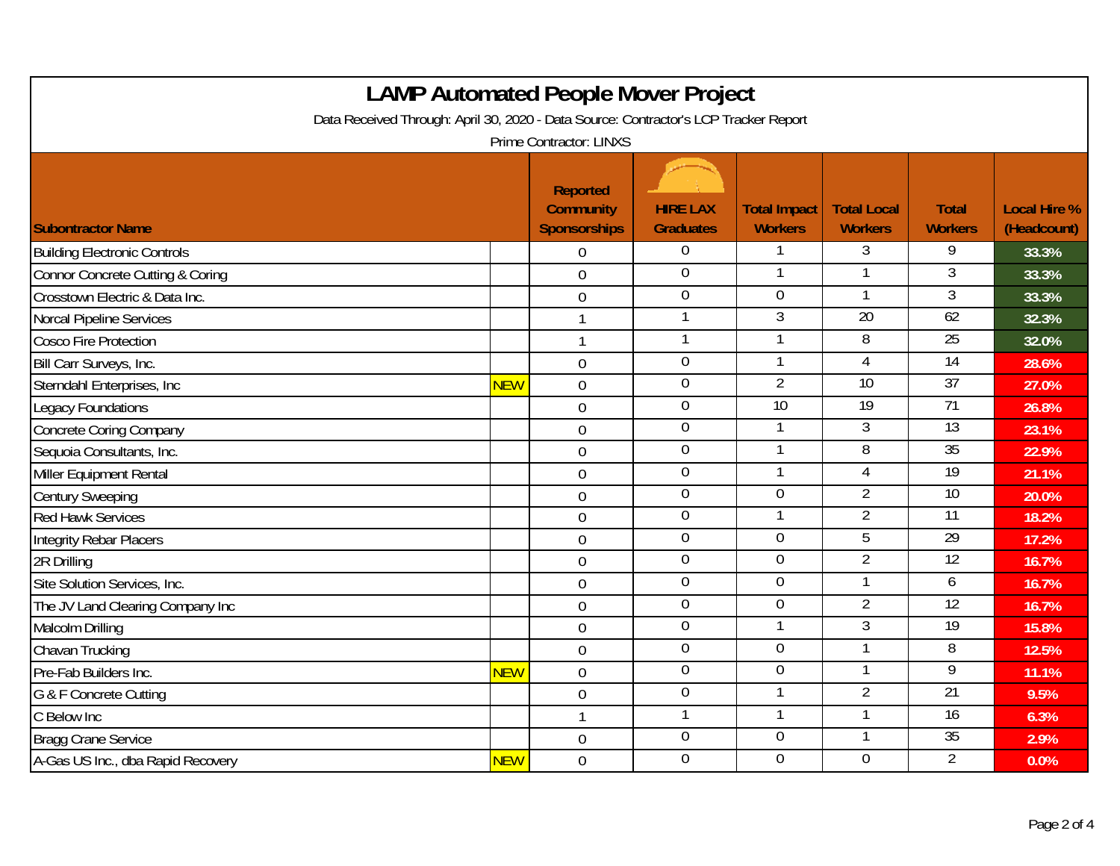| <b>LAMP Automated People Mover Project</b>                                                                      |            |                                                     |                                     |                                       |                                      |                                |                                    |  |  |
|-----------------------------------------------------------------------------------------------------------------|------------|-----------------------------------------------------|-------------------------------------|---------------------------------------|--------------------------------------|--------------------------------|------------------------------------|--|--|
| Data Received Through: April 30, 2020 - Data Source: Contractor's LCP Tracker Report<br>Prime Contractor: LINXS |            |                                                     |                                     |                                       |                                      |                                |                                    |  |  |
| <b>Subontractor Name</b>                                                                                        |            | Reported<br><b>Community</b><br><b>Sponsorships</b> | <b>HIRE LAX</b><br><b>Graduates</b> | <b>Total Impact</b><br><b>Workers</b> | <b>Total Local</b><br><b>Workers</b> | <b>Total</b><br><b>Workers</b> | <b>Local Hire %</b><br>(Headcount) |  |  |
| <b>Building Electronic Controls</b>                                                                             |            | $\overline{0}$                                      | $\overline{0}$                      | 1                                     | 3                                    | 9                              | 33.3%                              |  |  |
| <b>Connor Concrete Cutting &amp; Coring</b>                                                                     |            | $\overline{0}$                                      | $\mathbf 0$                         |                                       |                                      | 3                              | 33.3%                              |  |  |
| Crosstown Electric & Data Inc.                                                                                  |            | $\overline{0}$                                      | $\mathbf 0$                         | $\overline{0}$                        | 1                                    | $\overline{3}$                 | 33.3%                              |  |  |
| <b>Norcal Pipeline Services</b>                                                                                 |            |                                                     | 1                                   | $\overline{3}$                        | 20                                   | 62                             | 32.3%                              |  |  |
| <b>Cosco Fire Protection</b>                                                                                    |            | $\mathbf{1}$                                        | $\mathbf{1}$                        | 1                                     | $\infty$                             | 25                             | 32.0%                              |  |  |
| Bill Carr Surveys, Inc.                                                                                         |            | $\overline{0}$                                      | $\mathbf 0$                         | 1                                     | $\overline{4}$                       | 14                             | 28.6%                              |  |  |
| Sterndahl Enterprises, Inc                                                                                      | <b>NEW</b> | $\overline{0}$                                      | $\boldsymbol{0}$                    | $\overline{2}$                        | 10                                   | 37                             | 27.0%                              |  |  |
| Legacy Foundations                                                                                              |            | $\overline{0}$                                      | $\overline{0}$                      | 10                                    | 19                                   | 71                             | 26.8%                              |  |  |
| <b>Concrete Coring Company</b>                                                                                  |            | $\mathbf 0$                                         | $\overline{0}$                      |                                       | 3                                    | 13                             | 23.1%                              |  |  |
| Sequoia Consultants, Inc.                                                                                       |            | $\overline{0}$                                      | $\overline{0}$                      |                                       | $\overline{8}$                       | 35                             | 22.9%                              |  |  |
| Miller Equipment Rental                                                                                         |            | $\overline{0}$                                      | $\mathbf 0$                         | $\mathbf{1}$                          | 4                                    | 19                             | 21.1%                              |  |  |
| <b>Century Sweeping</b>                                                                                         |            | $\mathbf 0$                                         | $\overline{0}$                      | $\overline{0}$                        | $\overline{2}$                       | 10                             | 20.0%                              |  |  |
| <b>Red Hawk Services</b>                                                                                        |            | $\overline{0}$                                      | $\overline{0}$                      |                                       | 2                                    | 11                             | 18.2%                              |  |  |
| <b>Integrity Rebar Placers</b>                                                                                  |            | $\overline{0}$                                      | $\mathbf 0$                         | $\overline{0}$                        | $\overline{5}$                       | 29                             | 17.2%                              |  |  |
| 2R Drilling                                                                                                     |            | $\mathbf 0$                                         | $\overline{0}$                      | $\overline{0}$                        | $\overline{2}$                       | 12                             | 16.7%                              |  |  |
| Site Solution Services, Inc.                                                                                    |            | $\mathbf 0$                                         | $\boldsymbol{0}$                    | $\overline{0}$                        | 1                                    | 6                              | 16.7%                              |  |  |
| The JV Land Clearing Company Inc                                                                                |            | $\overline{0}$                                      | $\overline{0}$                      | $\overline{0}$                        | $\overline{2}$                       | 12                             | 16.7%                              |  |  |
| Malcolm Drilling                                                                                                |            | $\overline{0}$                                      | $\overline{0}$                      |                                       | $\overline{3}$                       | 19                             | 15.8%                              |  |  |
| Chavan Trucking                                                                                                 |            | $\overline{0}$                                      | $\overline{0}$                      | $\overline{0}$                        |                                      | 8                              | 12.5%                              |  |  |
| Pre-Fab Builders Inc.                                                                                           | <b>NEW</b> | $\mathbf 0$                                         | $\overline{0}$                      | $\overline{0}$                        |                                      | 9                              | 11.1%                              |  |  |
| G & F Concrete Cutting                                                                                          |            | $\mathbf 0$                                         | $\boldsymbol{0}$                    |                                       | $\overline{2}$                       | 21                             | 9.5%                               |  |  |
| C Below Inc                                                                                                     |            | $\mathbf{1}$                                        | $\mathbf{1}$                        | 1                                     | 1                                    | $\overline{16}$                | 6.3%                               |  |  |
| <b>Bragg Crane Service</b>                                                                                      |            | $\mathbf 0$                                         | $\overline{0}$                      | $\overline{0}$                        |                                      | 35                             | 2.9%                               |  |  |
| A-Gas US Inc., dba Rapid Recovery                                                                               | <b>NEW</b> | $\overline{0}$                                      | $\overline{0}$                      | $\overline{0}$                        | $\overline{0}$                       | $\overline{2}$                 | 0.0%                               |  |  |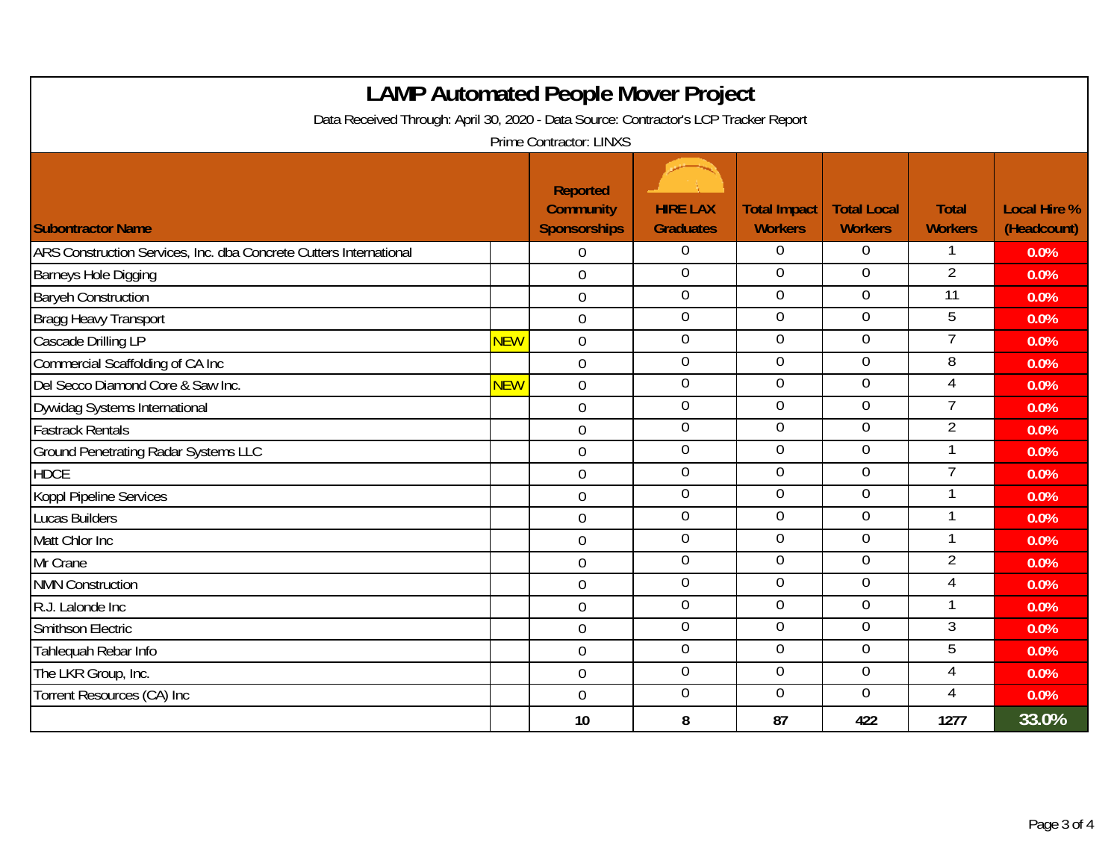| <b>LAMP Automated People Mover Project</b>                                           |            |                                              |                                     |                                       |                                      |                                |                                    |  |  |
|--------------------------------------------------------------------------------------|------------|----------------------------------------------|-------------------------------------|---------------------------------------|--------------------------------------|--------------------------------|------------------------------------|--|--|
| Data Received Through: April 30, 2020 - Data Source: Contractor's LCP Tracker Report |            |                                              |                                     |                                       |                                      |                                |                                    |  |  |
| <b>Prime Contractor: LINXS</b>                                                       |            |                                              |                                     |                                       |                                      |                                |                                    |  |  |
| <b>Subontractor Name</b>                                                             |            | Reported<br><b>Community</b><br>Sponsorships | <b>HIRE LAX</b><br><b>Graduates</b> | <b>Total Impact</b><br><b>Workers</b> | <b>Total Local</b><br><b>Workers</b> | <b>Total</b><br><b>Workers</b> | <b>Local Hire %</b><br>(Headcount) |  |  |
| ARS Construction Services, Inc. dba Concrete Cutters International                   |            | $\overline{0}$                               | $\overline{0}$                      | $\Omega$                              | $\overline{0}$                       | 1                              | 0.0%                               |  |  |
| <b>Barneys Hole Digging</b>                                                          |            | $\mathbf 0$                                  | $\mathbf 0$                         | $\overline{0}$                        | $\overline{0}$                       | $\overline{2}$                 | 0.0%                               |  |  |
| <b>Baryeh Construction</b>                                                           |            | $\mathbf 0$                                  | $\mathbf 0$                         | $\overline{0}$                        | $\overline{0}$                       | $\overline{11}$                | 0.0%                               |  |  |
| Bragg Heavy Transport                                                                |            | $\mathbf 0$                                  | $\boldsymbol{0}$                    | $\overline{0}$                        | $\overline{0}$                       | 5                              | 0.0%                               |  |  |
| Cascade Drilling LP                                                                  | <b>NEW</b> | $\boldsymbol{0}$                             | $\boldsymbol{0}$                    | $\mathbf 0$                           | $\overline{0}$                       | 7                              | 0.0%                               |  |  |
| Commercial Scaffolding of CA Inc                                                     |            | $\mathbf 0$                                  | $\overline{0}$                      | $\overline{0}$                        | $\overline{0}$                       | 8                              | 0.0%                               |  |  |
| Del Secco Diamond Core & Saw Inc.                                                    | <b>NEW</b> | $\mathbf 0$                                  | $\boldsymbol{0}$                    | $\mathbf 0$                           | $\overline{0}$                       | 4                              | 0.0%                               |  |  |
| Dywidag Systems International                                                        |            | $\mathbf 0$                                  | $\overline{0}$                      | $\overline{0}$                        | $\overline{0}$                       | 7                              | 0.0%                               |  |  |
| <b>Fastrack Rentals</b>                                                              |            | $\mathbf 0$                                  | $\boldsymbol{0}$                    | $\overline{0}$                        | $\overline{0}$                       | $\overline{2}$                 | 0.0%                               |  |  |
| <b>Ground Penetrating Radar Systems LLC</b>                                          |            | $\mathbf 0$                                  | $\mathbf 0$                         | $\overline{0}$                        | $\overline{0}$                       | 1                              | 0.0%                               |  |  |
| <b>HDCE</b>                                                                          |            | $\overline{0}$                               | $\mathbf 0$                         | $\overline{0}$                        | $\overline{0}$                       | 7                              | 0.0%                               |  |  |
| Koppl Pipeline Services                                                              |            | $\overline{0}$                               | $\mathbf 0$                         | 0                                     | $\overline{0}$                       | 1                              | 0.0%                               |  |  |
| <b>Lucas Builders</b>                                                                |            | $\overline{0}$                               | $\overline{0}$                      | $\overline{0}$                        | $\overline{0}$                       | 1                              | 0.0%                               |  |  |
| Matt Chlor Inc                                                                       |            | $\overline{0}$                               | $\boldsymbol{0}$                    | $\mathbf 0$                           | $\overline{0}$                       | 1                              | 0.0%                               |  |  |
| Mr Crane                                                                             |            | $\mathbf 0$                                  | $\overline{0}$                      | $\overline{0}$                        | $\overline{0}$                       | $\overline{2}$                 | 0.0%                               |  |  |
| <b>NMN Construction</b>                                                              |            | $\overline{0}$                               | $\boldsymbol{0}$                    | $\overline{0}$                        | $\mathbf 0$                          | 4                              | 0.0%                               |  |  |
| R.J. Lalonde Inc                                                                     |            | $\mathbf 0$                                  | $\boldsymbol{0}$                    | $\overline{0}$                        | $\overline{0}$                       |                                | 0.0%                               |  |  |
| Smithson Electric                                                                    |            | $\overline{0}$                               | $\boldsymbol{0}$                    | $\overline{0}$                        | $\overline{0}$                       | 3                              | 0.0%                               |  |  |
| Tahlequah Rebar Info                                                                 |            | $\theta$                                     | $\mathbf 0$                         | $\overline{0}$                        | $\mathbf 0$                          | 5                              | 0.0%                               |  |  |
| The LKR Group, Inc.                                                                  |            | $\overline{0}$                               | $\mathbf 0$                         | $\overline{0}$                        | $\mathbf 0$                          | $\overline{4}$                 | 0.0%                               |  |  |
| Torrent Resources (CA) Inc                                                           |            | $\overline{0}$                               | $\mathbf 0$                         | $\overline{0}$                        | $\overline{0}$                       | 4                              | 0.0%                               |  |  |
|                                                                                      |            | 10                                           | 8                                   | 87                                    | 422                                  | 1277                           | 33.0%                              |  |  |